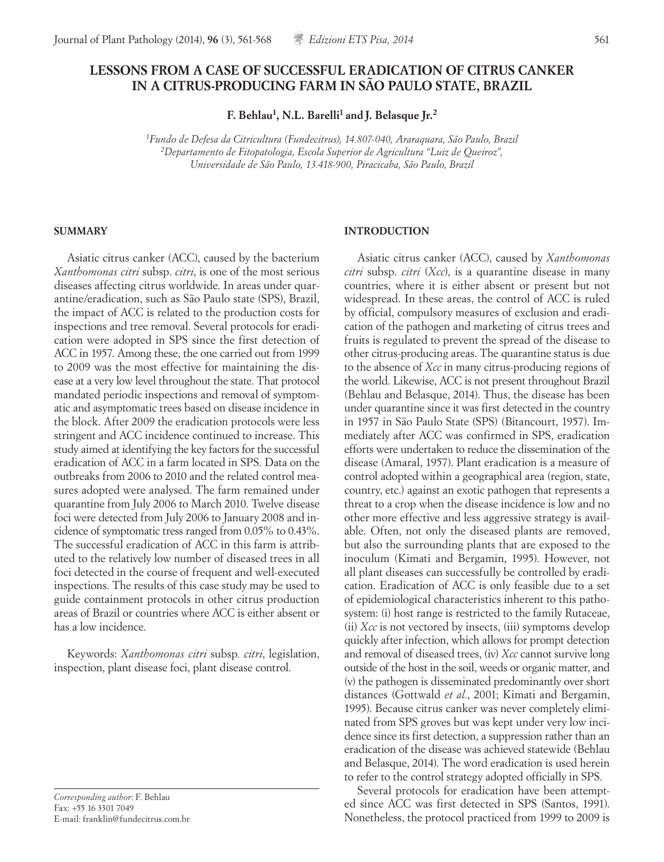# **LESSONS FROM A CASE OF SUCCESSFUL ERADICATION OF CITRUS CANKER IN A CITRUS-PRODUCING FARM IN SÃO PAULO STATE, BRAZIL**

**F. Behlau1, N.L. Barelli1 and J. Belasque Jr.<sup>2</sup>**

*1Fundo de Defesa da Citricultura (Fundecitrus), 14.807-040, Araraquara, São Paulo, Brazil 2Departamento de Fitopatologia, Escola Superior de Agricultura "Luiz de Queiroz", Universidade de São Paulo, 13.418-900, Piracicaba, São Paulo, Brazil*

### **SUMMARY**

Asiatic citrus canker (ACC), caused by the bacterium *Xanthomonas citri* subsp. *citri*, is one of the most serious diseases affecting citrus worldwide. In areas under quarantine/eradication, such as São Paulo state (SPS), Brazil, the impact of ACC is related to the production costs for inspections and tree removal. Several protocols for eradication were adopted in SPS since the first detection of ACC in 1957. Among these, the one carried out from 1999 to 2009 was the most effective for maintaining the disease at a very low level throughout the state. That protocol mandated periodic inspections and removal of symptomatic and asymptomatic trees based on disease incidence in the block. After 2009 the eradication protocols were less stringent and ACC incidence continued to increase. This study aimed at identifying the key factors for the successful eradication of ACC in a farm located in SPS. Data on the outbreaks from 2006 to 2010 and the related control measures adopted were analysed. The farm remained under quarantine from July 2006 to March 2010. Twelve disease foci were detected from July 2006 to January 2008 and incidence of symptomatic tress ranged from 0.05% to 0.43%. The successful eradication of ACC in this farm is attributed to the relatively low number of diseased trees in all foci detected in the course of frequent and well-executed inspections. The results of this case study may be used to guide containment protocols in other citrus production areas of Brazil or countries where ACC is either absent or has a low incidence.

Keywords: *Xanthomonas citri* subsp*. citri*, legislation, inspection, plant disease foci, plant disease control.

*Corresponding author*: F. Behlau Fax: +55 16 3301 7049 E-mail: franklin@fundecitrus.com.br

# **INTRODUCTION**

Asiatic citrus canker (ACC), caused by *Xanthomonas citri* subsp. *citri* (*Xcc*), is a quarantine disease in many countries, where it is either absent or present but not widespread. In these areas, the control of ACC is ruled by official, compulsory measures of exclusion and eradication of the pathogen and marketing of citrus trees and fruits is regulated to prevent the spread of the disease to other citrus-producing areas. The quarantine status is due to the absence of *Xcc* in many citrus-producing regions of the world. Likewise, ACC is not present throughout Brazil (Behlau and Belasque, 2014). Thus, the disease has been under quarantine since it was first detected in the country in 1957 in São Paulo State (SPS) (Bitancourt, 1957). Immediately after ACC was confirmed in SPS, eradication efforts were undertaken to reduce the dissemination of the disease (Amaral, 1957). Plant eradication is a measure of control adopted within a geographical area (region, state, country, etc.) against an exotic pathogen that represents a threat to a crop when the disease incidence is low and no other more effective and less aggressive strategy is available. Often, not only the diseased plants are removed, but also the surrounding plants that are exposed to the inoculum (Kimati and Bergamin, 1995). However, not all plant diseases can successfully be controlled by eradication. Eradication of ACC is only feasible due to a set of epidemiological characteristics inherent to this pathosystem: (i) host range is restricted to the family Rutaceae, (ii) *Xcc* is not vectored by insects, (iii) symptoms develop quickly after infection, which allows for prompt detection and removal of diseased trees, (iv) *Xcc* cannot survive long outside of the host in the soil, weeds or organic matter, and (v) the pathogen is disseminated predominantly over short distances (Gottwald *et al.*, 2001; Kimati and Bergamin, 1995). Because citrus canker was never completely eliminated from SPS groves but was kept under very low incidence since its first detection, a suppression rather than an eradication of the disease was achieved statewide (Behlau and Belasque, 2014). The word eradication is used herein to refer to the control strategy adopted officially in SPS.

Several protocols for eradication have been attempted since ACC was first detected in SPS (Santos, 1991). Nonetheless, the protocol practiced from 1999 to 2009 is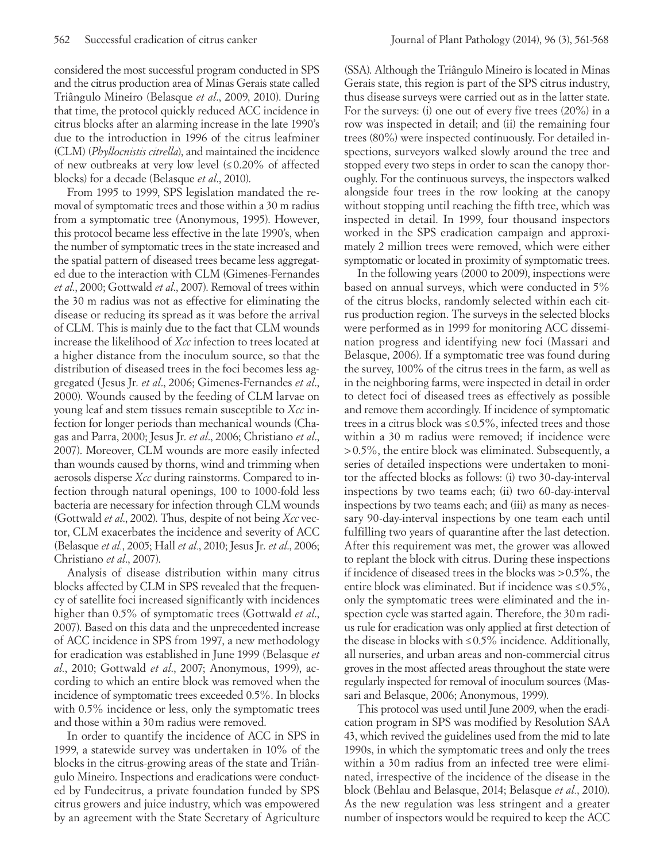considered the most successful program conducted in SPS and the citrus production area of Minas Gerais state called Triângulo Mineiro (Belasque *et al*., 2009, 2010). During that time, the protocol quickly reduced ACC incidence in citrus blocks after an alarming increase in the late 1990's due to the introduction in 1996 of the citrus leafminer (CLM) (*Phyllocnistis citrella*), and maintained the incidence of new outbreaks at very low level (≤ 0.20% of affected blocks) for a decade (Belasque *et al*., 2010).

From 1995 to 1999, SPS legislation mandated the removal of symptomatic trees and those within a 30 m radius from a symptomatic tree (Anonymous, 1995). However, this protocol became less effective in the late 1990's, when the number of symptomatic trees in the state increased and the spatial pattern of diseased trees became less aggregated due to the interaction with CLM (Gimenes-Fernandes *et al*., 2000; Gottwald *et al*., 2007). Removal of trees within the 30 m radius was not as effective for eliminating the disease or reducing its spread as it was before the arrival of CLM. This is mainly due to the fact that CLM wounds increase the likelihood of *Xcc* infection to trees located at a higher distance from the inoculum source, so that the distribution of diseased trees in the foci becomes less aggregated (Jesus Jr. *et al*., 2006; Gimenes-Fernandes *et al*., 2000). Wounds caused by the feeding of CLM larvae on young leaf and stem tissues remain susceptible to *Xcc* infection for longer periods than mechanical wounds (Chagas and Parra, 2000; Jesus Jr. *et al*., 2006; Christiano *et al*., 2007). Moreover, CLM wounds are more easily infected than wounds caused by thorns, wind and trimming when aerosols disperse *Xcc* during rainstorms. Compared to infection through natural openings, 100 to 1000-fold less bacteria are necessary for infection through CLM wounds (Gottwald *et al*., 2002). Thus, despite of not being *Xcc* vector, CLM exacerbates the incidence and severity of ACC (Belasque *et al.*, 2005; Hall *et al.*, 2010; Jesus Jr. *et al*., 2006; Christiano *et al*., 2007).

Analysis of disease distribution within many citrus blocks affected by CLM in SPS revealed that the frequency of satellite foci increased significantly with incidences higher than 0.5% of symptomatic trees (Gottwald *et al*., 2007). Based on this data and the unprecedented increase of ACC incidence in SPS from 1997, a new methodology for eradication was established in June 1999 (Belasque *et al.*, 2010; Gottwald *et al*., 2007; Anonymous, 1999), according to which an entire block was removed when the incidence of symptomatic trees exceeded 0.5%. In blocks with  $0.5\%$  incidence or less, only the symptomatic trees and those within a 30m radius were removed.

In order to quantify the incidence of ACC in SPS in 1999, a statewide survey was undertaken in 10% of the blocks in the citrus-growing areas of the state and Triângulo Mineiro. Inspections and eradications were conducted by Fundecitrus, a private foundation funded by SPS citrus growers and juice industry, which was empowered by an agreement with the State Secretary of Agriculture

(SSA). Although the Triângulo Mineiro is located in Minas Gerais state, this region is part of the SPS citrus industry, thus disease surveys were carried out as in the latter state. For the surveys: (i) one out of every five trees (20%) in a row was inspected in detail; and (ii) the remaining four trees (80%) were inspected continuously. For detailed inspections, surveyors walked slowly around the tree and stopped every two steps in order to scan the canopy thoroughly. For the continuous surveys, the inspectors walked alongside four trees in the row looking at the canopy without stopping until reaching the fifth tree, which was inspected in detail. In 1999, four thousand inspectors worked in the SPS eradication campaign and approximately 2 million trees were removed, which were either symptomatic or located in proximity of symptomatic trees.

In the following years (2000 to 2009), inspections were based on annual surveys, which were conducted in 5% of the citrus blocks, randomly selected within each citrus production region. The surveys in the selected blocks were performed as in 1999 for monitoring ACC dissemination progress and identifying new foci (Massari and Belasque, 2006). If a symptomatic tree was found during the survey, 100% of the citrus trees in the farm, as well as in the neighboring farms, were inspected in detail in order to detect foci of diseased trees as effectively as possible and remove them accordingly. If incidence of symptomatic trees in a citrus block was  $\leq 0.5\%$ , infected trees and those within a 30 m radius were removed; if incidence were >0.5%, the entire block was eliminated. Subsequently, a series of detailed inspections were undertaken to monitor the affected blocks as follows: (i) two 30-day-interval inspections by two teams each; (ii) two 60-day-interval inspections by two teams each; and (iii) as many as necessary 90-day-interval inspections by one team each until fulfilling two years of quarantine after the last detection. After this requirement was met, the grower was allowed to replant the block with citrus. During these inspections if incidence of diseased trees in the blocks was >0.5%, the entire block was eliminated. But if incidence was ≤0.5%, only the symptomatic trees were eliminated and the inspection cycle was started again. Therefore, the 30m radius rule for eradication was only applied at first detection of the disease in blocks with  $\leq 0.5\%$  incidence. Additionally, all nurseries, and urban areas and non-commercial citrus groves in the most affected areas throughout the state were regularly inspected for removal of inoculum sources (Massari and Belasque, 2006; Anonymous, 1999).

This protocol was used until June 2009, when the eradication program in SPS was modified by Resolution SAA 43, which revived the guidelines used from the mid to late 1990s, in which the symptomatic trees and only the trees within a 30m radius from an infected tree were eliminated, irrespective of the incidence of the disease in the block (Behlau and Belasque, 2014; Belasque *et al.*, 2010). As the new regulation was less stringent and a greater number of inspectors would be required to keep the ACC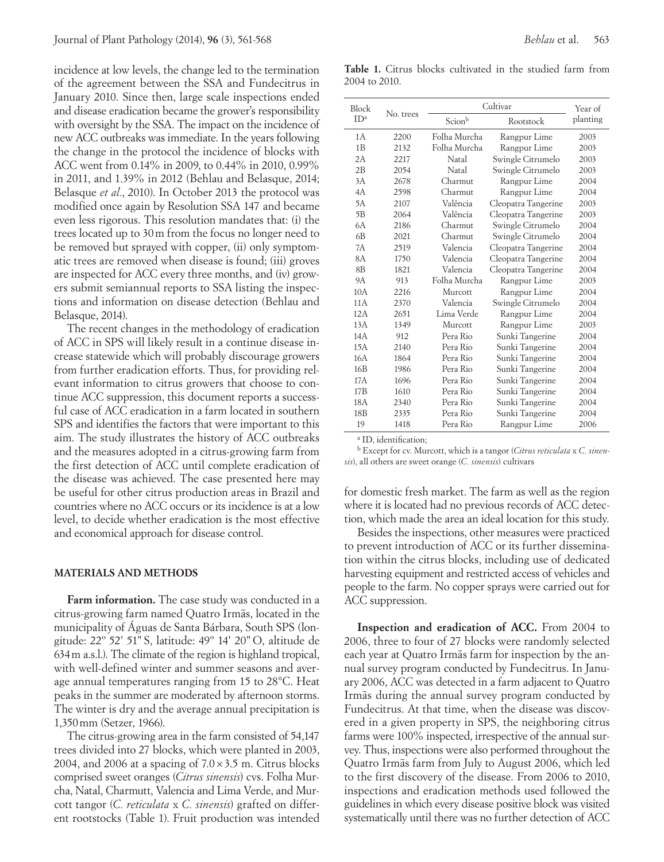incidence at low levels, the change led to the termination of the agreement between the SSA and Fundecitrus in January 2010. Since then, large scale inspections ended and disease eradication became the grower's responsibility with oversight by the SSA. The impact on the incidence of new ACC outbreaks was immediate. In the years following the change in the protocol the incidence of blocks with ACC went from 0.14% in 2009, to 0.44% in 2010, 0.99% in 2011, and 1.39% in 2012 (Behlau and Belasque, 2014; Belasque *et al.*, 2010). In October 2013 the protocol was modified once again by Resolution SSA 147 and became even less rigorous. This resolution mandates that: (i) the trees located up to 30m from the focus no longer need to be removed but sprayed with copper, (ii) only symptomatic trees are removed when disease is found; (iii) groves are inspected for ACC every three months, and (iv) growers submit semiannual reports to SSA listing the inspections and information on disease detection (Behlau and Belasque, 2014).

The recent changes in the methodology of eradication of ACC in SPS will likely result in a continue disease increase statewide which will probably discourage growers from further eradication efforts. Thus, for providing relevant information to citrus growers that choose to continue ACC suppression, this document reports a successful case of ACC eradication in a farm located in southern SPS and identifies the factors that were important to this aim. The study illustrates the history of ACC outbreaks and the measures adopted in a citrus-growing farm from the first detection of ACC until complete eradication of the disease was achieved. The case presented here may be useful for other citrus production areas in Brazil and countries where no ACC occurs or its incidence is at a low level, to decide whether eradication is the most effective and economical approach for disease control.

#### **MATERIALS AND METHODS**

**Farm information.** The case study was conducted in a citrus-growing farm named Quatro Irmãs, located in the municipality of Águas de Santa Bárbara, South SPS (longitude: 22º 52' 51" S, latitude: 49º 14' 20"O, altitude de 634m a.s.l.). The climate of the region is highland tropical, with well-defined winter and summer seasons and average annual temperatures ranging from 15 to 28°C. Heat peaks in the summer are moderated by afternoon storms. The winter is dry and the average annual precipitation is 1,350mm (Setzer, 1966).

The citrus-growing area in the farm consisted of 54,147 trees divided into 27 blocks, which were planted in 2003, 2004, and 2006 at a spacing of  $7.0 \times 3.5$  m. Citrus blocks comprised sweet oranges (*Citrus sinensis*) cvs. Folha Murcha, Natal, Charmutt, Valencia and Lima Verde, and Murcott tangor (*C. reticulata* x *C. sinensis*) grafted on different rootstocks (Table 1). Fruit production was intended

**Table 1.** Citrus blocks cultivated in the studied farm from 2004 to 2010.

| Block<br>ID <sup>a</sup> |           |              |                       |                     |
|--------------------------|-----------|--------------|-----------------------|---------------------|
|                          | No. trees | Scionb       | Cultivar<br>Rootstock | Year of<br>planting |
| 1 A                      | 2200      | Folha Murcha | Rangpur Lime          | 2003                |
| 1B                       | 2132      | Folha Murcha | Rangpur Lime          | 2003                |
| 2A                       | 2217      | Natal        | Swingle Citrumelo     | 2003                |
| 2B                       | 2054      | Natal        | Swingle Citrumelo     | 2003                |
| 3A                       | 2678      | Charmut      | Rangpur Lime          | 2004                |
| 4A                       | 2598      | Charmut      | Rangpur Lime          | 2004                |
| 5A                       | 2107      | Valência     | Cleopatra Tangerine   | 2003                |
| 5B                       | 2064      | Valência     | Cleopatra Tangerine   | 2003                |
| 6A                       | 2186      | Charmut      | Swingle Citrumelo     | 2004                |
| 6 <sub>B</sub>           | 2021      | Charmut      | Swingle Citrumelo     | 2004                |
| 7A                       | 2519      | Valencia     | Cleopatra Tangerine   | 2004                |
| 8A                       | 1750      | Valencia     | Cleopatra Tangerine   | 2004                |
| 8 <sub>B</sub>           | 1821      | Valencia     | Cleopatra Tangerine   | 2004                |
| 9Α                       | 913       | Folha Murcha | Rangpur Lime          | 2003                |
| 10A                      | 2216      | Murcott      | Rangpur Lime          | 2004                |
| 11A                      | 2370      | Valencia     | Swingle Citrumelo     | 2004                |
| 12A                      | 2651      | Lima Verde   | Rangpur Lime          | 2004                |
| 13A                      | 1349      | Murcott      | Rangpur Lime          | 2003                |
| 14A                      | 912       | Pera Rio     | Sunki Tangerine       | 2004                |
| 15A                      | 2140      | Pera Rio     | Sunki Tangerine       | 2004                |
| 16A                      | 1864      | Pera Rio     | Sunki Tangerine       | 2004                |
| 16 <sub>B</sub>          | 1986      | Pera Rio     | Sunki Tangerine       | 2004                |
| 17A                      | 1696      | Pera Rio     | Sunki Tangerine       | 2004                |
| 17B                      | 1610      | Pera Rio     | Sunki Tangerine       | 2004                |
| 18A                      | 2340      | Pera Rio     | Sunki Tangerine       | 2004                |
| 18 <sub>B</sub>          | 2335      | Pera Rio     | Sunki Tangerine       | 2004                |
| 19                       | 1418      | Pera Rio     | Rangpur Lime          | 2006                |

a ID, identification;

b Except for cv. Murcott, which is a tangor (*Citrus reticulata* x *C. sinensis*), all others are sweet orange (*C. sinensis*) cultivars

for domestic fresh market. The farm as well as the region where it is located had no previous records of ACC detection, which made the area an ideal location for this study.

Besides the inspections, other measures were practiced to prevent introduction of ACC or its further dissemination within the citrus blocks, including use of dedicated harvesting equipment and restricted access of vehicles and people to the farm. No copper sprays were carried out for ACC suppression.

**Inspection and eradication of ACC.** From 2004 to 2006, three to four of 27 blocks were randomly selected each year at Quatro Irmãs farm for inspection by the annual survey program conducted by Fundecitrus. In January 2006, ACC was detected in a farm adjacent to Quatro Irmãs during the annual survey program conducted by Fundecitrus. At that time, when the disease was discovered in a given property in SPS, the neighboring citrus farms were 100% inspected, irrespective of the annual survey. Thus, inspections were also performed throughout the Quatro Irmãs farm from July to August 2006, which led to the first discovery of the disease. From 2006 to 2010, inspections and eradication methods used followed the guidelines in which every disease positive block was visited systematically until there was no further detection of ACC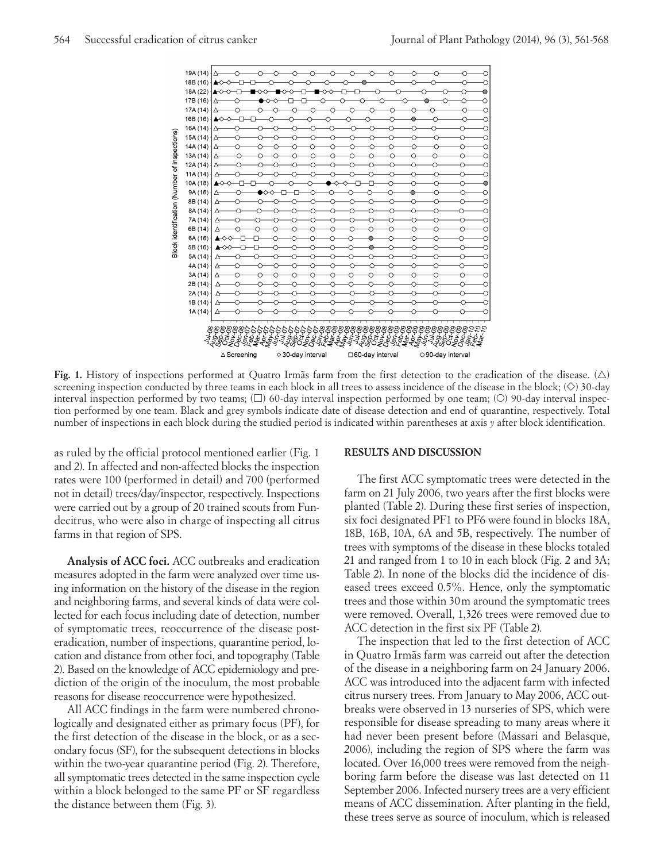

**Fig. 1.** History of inspections performed at Quatro Irmãs farm from the first detection to the eradication of the disease.  $(\triangle)$ screening inspection conducted by three teams in each block in all trees to assess incidence of the disease in the block;  $(\diamond)$  30-day interval inspection performed by two teams;  $(\Box)$  60-day interval inspection performed by one team;  $(\bigcirc)$  90-day interval inspection performed by one team. Black and grey symbols indicate date of disease detection and end of quarantine, respectively. Total number of inspections in each block during the studied period is indicated within parentheses at axis *y* after block identification.

as ruled by the official protocol mentioned earlier (Fig. 1 and 2). In affected and non-affected blocks the inspection rates were 100 (performed in detail) and 700 (performed not in detail) trees/day/inspector, respectively. Inspections were carried out by a group of 20 trained scouts from Fundecitrus, who were also in charge of inspecting all citrus farms in that region of SPS.

**Analysis of ACC foci.** ACC outbreaks and eradication measures adopted in the farm were analyzed over time using information on the history of the disease in the region and neighboring farms, and several kinds of data were collected for each focus including date of detection, number of symptomatic trees, reoccurrence of the disease posteradication, number of inspections, quarantine period, location and distance from other foci, and topography (Table 2). Based on the knowledge of ACC epidemiology and prediction of the origin of the inoculum, the most probable reasons for disease reoccurrence were hypothesized.

All ACC findings in the farm were numbered chronologically and designated either as primary focus (PF), for the first detection of the disease in the block, or as a secondary focus (SF), for the subsequent detections in blocks within the two-year quarantine period (Fig. 2). Therefore, all symptomatic trees detected in the same inspection cycle within a block belonged to the same PF or SF regardless the distance between them (Fig. 3).

#### **RESULTS AND DISCUSSION**

The first ACC symptomatic trees were detected in the farm on 21 July 2006, two years after the first blocks were planted (Table 2). During these first series of inspection, six foci designated PF1 to PF6 were found in blocks 18A, 18B, 16B, 10A, 6A and 5B, respectively. The number of trees with symptoms of the disease in these blocks totaled 21 and ranged from 1 to 10 in each block (Fig. 2 and 3A; Table 2). In none of the blocks did the incidence of diseased trees exceed 0.5%. Hence, only the symptomatic trees and those within 30m around the symptomatic trees were removed. Overall, 1,326 trees were removed due to ACC detection in the first six PF (Table 2).

The inspection that led to the first detection of ACC in Quatro Irmãs farm was carreid out after the detection of the disease in a neighboring farm on 24 January 2006. ACC was introduced into the adjacent farm with infected citrus nursery trees. From January to May 2006, ACC outbreaks were observed in 13 nurseries of SPS, which were responsible for disease spreading to many areas where it had never been present before (Massari and Belasque, 2006), including the region of SPS where the farm was located. Over 16,000 trees were removed from the neighboring farm before the disease was last detected on 11 September 2006. Infected nursery trees are a very efficient means of ACC dissemination. After planting in the field, these trees serve as source of inoculum, which is released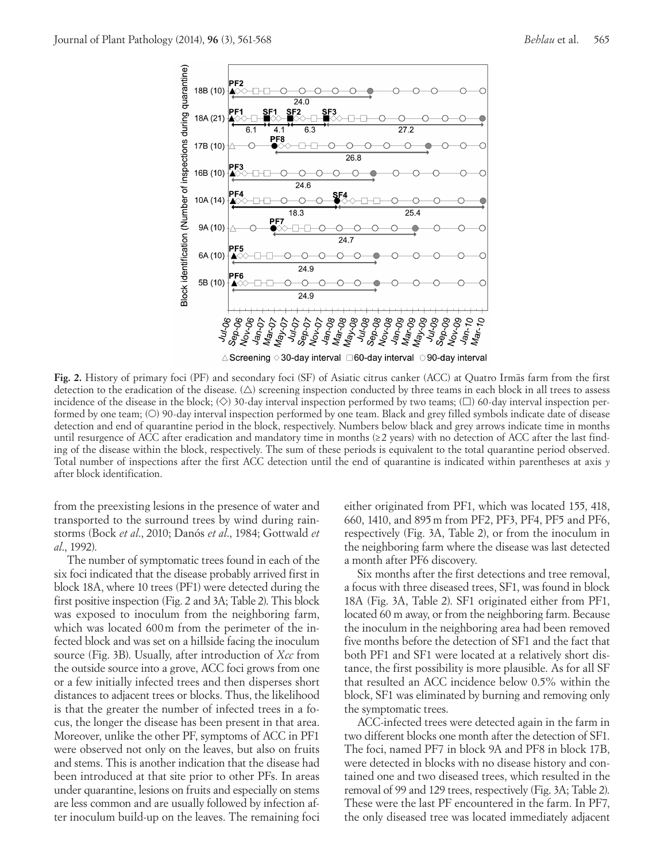

**Fig. 2.** History of primary foci (PF) and secondary foci (SF) of Asiatic citrus canker (ACC) at Quatro Irmãs farm from the first detection to the eradication of the disease.  $(\triangle)$  screening inspection conducted by three teams in each block in all trees to assess incidence of the disease in the block;  $(\Diamond)$  30-day interval inspection performed by two teams;  $(\Box)$  60-day interval inspection performed by one team; (O) 90-day interval inspection performed by one team. Black and grey filled symbols indicate date of disease detection and end of quarantine period in the block, respectively. Numbers below black and grey arrows indicate time in months until resurgence of ACC after eradication and mandatory time in months  $(\geq 2 \text{ years})$  with no detection of ACC after the last finding of the disease within the block, respectively. The sum of these periods is equivalent to the total quarantine period observed. Total number of inspections after the first ACC detection until the end of quarantine is indicated within parentheses at axis *y* after block identification.

from the preexisting lesions in the presence of water and transported to the surround trees by wind during rainstorms (Bock *et al*., 2010; Danós *et al*., 1984; Gottwald *et al*., 1992).

The number of symptomatic trees found in each of the six foci indicated that the disease probably arrived first in block 18A, where 10 trees (PF1) were detected during the first positive inspection (Fig. 2 and 3A; Table 2). This block was exposed to inoculum from the neighboring farm, which was located 600m from the perimeter of the infected block and was set on a hillside facing the inoculum source (Fig. 3B). Usually, after introduction of *Xcc* from the outside source into a grove, ACC foci grows from one or a few initially infected trees and then disperses short distances to adjacent trees or blocks. Thus, the likelihood is that the greater the number of infected trees in a focus, the longer the disease has been present in that area. Moreover, unlike the other PF, symptoms of ACC in PF1 were observed not only on the leaves, but also on fruits and stems. This is another indication that the disease had been introduced at that site prior to other PFs. In areas under quarantine, lesions on fruits and especially on stems are less common and are usually followed by infection after inoculum build-up on the leaves. The remaining foci either originated from PF1, which was located 155, 418, 660, 1410, and 895m from PF2, PF3, PF4, PF5 and PF6, respectively (Fig. 3A, Table 2), or from the inoculum in the neighboring farm where the disease was last detected a month after PF6 discovery.

Six months after the first detections and tree removal, a focus with three diseased trees, SF1, was found in block 18A (Fig. 3A, Table 2). SF1 originated either from PF1, located 60 m away, or from the neighboring farm. Because the inoculum in the neighboring area had been removed five months before the detection of SF1 and the fact that both PF1 and SF1 were located at a relatively short distance, the first possibility is more plausible. As for all SF that resulted an ACC incidence below 0.5% within the block, SF1 was eliminated by burning and removing only the symptomatic trees.

ACC-infected trees were detected again in the farm in two different blocks one month after the detection of SF1. The foci, named PF7 in block 9A and PF8 in block 17B, were detected in blocks with no disease history and contained one and two diseased trees, which resulted in the removal of 99 and 129 trees, respectively (Fig. 3A; Table 2). These were the last PF encountered in the farm. In PF7, the only diseased tree was located immediately adjacent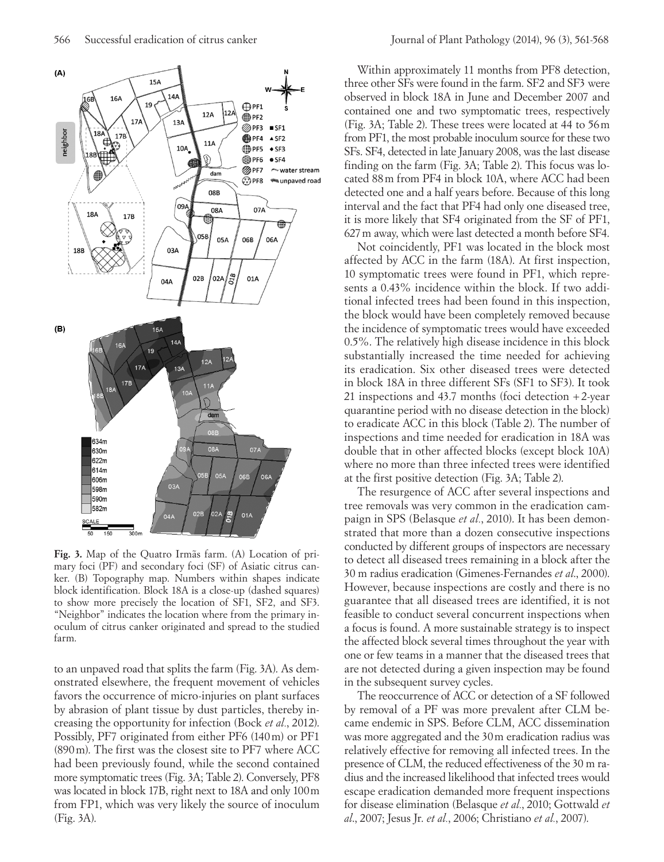

**Fig. 3.** Map of the Quatro Irmãs farm. (A) Location of primary foci (PF) and secondary foci (SF) of Asiatic citrus canker. (B) Topography map. Numbers within shapes indicate block identification. Block 18A is a close-up (dashed squares) to show more precisely the location of SF1, SF2, and SF3. "Neighbor" indicates the location where from the primary inoculum of citrus canker originated and spread to the studied farm.

to an unpaved road that splits the farm (Fig. 3A). As demonstrated elsewhere, the frequent movement of vehicles favors the occurrence of micro-injuries on plant surfaces by abrasion of plant tissue by dust particles, thereby increasing the opportunity for infection (Bock *et al.*, 2012). Possibly, PF7 originated from either PF6 (140m) or PF1 (890m). The first was the closest site to PF7 where ACC had been previously found, while the second contained more symptomatic trees (Fig. 3A; Table 2). Conversely, PF8 was located in block 17B, right next to 18A and only 100m from FP1, which was very likely the source of inoculum (Fig. 3A).

Within approximately 11 months from PF8 detection, three other SFs were found in the farm. SF2 and SF3 were observed in block 18A in June and December 2007 and contained one and two symptomatic trees, respectively (Fig. 3A; Table 2). These trees were located at 44 to 56m from PF1, the most probable inoculum source for these two SFs. SF4, detected in late January 2008, was the last disease finding on the farm (Fig. 3A; Table 2). This focus was located 88m from PF4 in block 10A, where ACC had been detected one and a half years before. Because of this long interval and the fact that PF4 had only one diseased tree, it is more likely that SF4 originated from the SF of PF1, 627m away, which were last detected a month before SF4.

Not coincidently, PF1 was located in the block most affected by ACC in the farm (18A). At first inspection, 10 symptomatic trees were found in PF1, which represents a 0.43% incidence within the block. If two additional infected trees had been found in this inspection, the block would have been completely removed because the incidence of symptomatic trees would have exceeded 0.5%. The relatively high disease incidence in this block substantially increased the time needed for achieving its eradication. Six other diseased trees were detected in block 18A in three different SFs (SF1 to SF3). It took 21 inspections and 43.7 months (foci detection +2-year quarantine period with no disease detection in the block) to eradicate ACC in this block (Table 2). The number of inspections and time needed for eradication in 18A was double that in other affected blocks (except block 10A) where no more than three infected trees were identified at the first positive detection (Fig. 3A; Table 2).

The resurgence of ACC after several inspections and tree removals was very common in the eradication campaign in SPS (Belasque *et al.*, 2010). It has been demonstrated that more than a dozen consecutive inspections conducted by different groups of inspectors are necessary to detect all diseased trees remaining in a block after the 30 m radius eradication (Gimenes-Fernandes *et al*., 2000). However, because inspections are costly and there is no guarantee that all diseased trees are identified, it is not feasible to conduct several concurrent inspections when a focus is found. A more sustainable strategy is to inspect the affected block several times throughout the year with one or few teams in a manner that the diseased trees that are not detected during a given inspection may be found in the subsequent survey cycles.

The reoccurrence of ACC or detection of a SF followed by removal of a PF was more prevalent after CLM became endemic in SPS. Before CLM, ACC dissemination was more aggregated and the 30m eradication radius was relatively effective for removing all infected trees. In the presence of CLM, the reduced effectiveness of the 30 m radius and the increased likelihood that infected trees would escape eradication demanded more frequent inspections for disease elimination (Belasque *et al.*, 2010; Gottwald *et al*., 2007; Jesus Jr. *et al.*, 2006; Christiano *et al.*, 2007).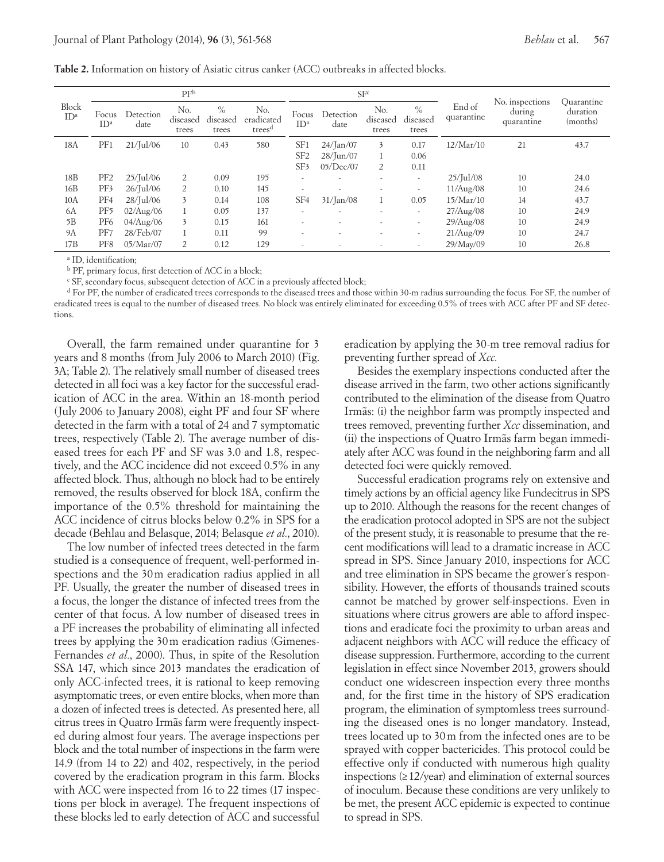**Table 2.** Information on history of Asiatic citrus canker (ACC) outbreaks in affected blocks.

|                          | PF <sup>b</sup>          |                    |                          |                           | SF <sup>c</sup>                         |                          |                          |                          |                           |                      |                                         |                                    |
|--------------------------|--------------------------|--------------------|--------------------------|---------------------------|-----------------------------------------|--------------------------|--------------------------|--------------------------|---------------------------|----------------------|-----------------------------------------|------------------------------------|
| Block<br>ID <sup>a</sup> | Focus<br>ID <sup>a</sup> | Detection<br>date  | No.<br>diseased<br>trees | $\%$<br>diseased<br>trees | No.<br>eradicated<br>trees <sup>d</sup> | Focus<br>ID <sup>a</sup> | Detection<br>date        | No.<br>diseased<br>trees | $\%$<br>diseased<br>trees | End of<br>quarantine | No. inspections<br>during<br>quarantine | Quarantine<br>duration<br>(months) |
| 18A                      | PF1                      | $21/$ Jul/06       | 10                       | 0.43                      | 580                                     | SF <sub>1</sub>          | $24/$ Jan $/07$          | 3                        | 0.17                      | 12/Mar/10            | 21                                      | 43.7                               |
|                          |                          |                    |                          |                           |                                         | SF <sub>2</sub>          | 28/Jun/07                |                          | 0.06                      |                      |                                         |                                    |
|                          |                          |                    |                          |                           |                                         | SF3                      | 05/Dec/07                | $\overline{2}$           | 0.11                      |                      |                                         |                                    |
| 18B                      | PF <sub>2</sub>          | $25/$ Jul/06       | 2                        | 0.09                      | 195                                     | $\overline{\phantom{a}}$ | $\overline{\phantom{a}}$ | $\overline{\phantom{a}}$ | $\sim$                    | $25/$ Jul/08         | 10                                      | 24.0                               |
| 16B                      | PF3                      | $26$ /Jul/06       | $\overline{2}$           | 0.10                      | 145                                     | $\overline{\phantom{a}}$ | $\overline{\phantom{a}}$ |                          | $\overline{\phantom{a}}$  | 11/Aug/08            | 10                                      | 24.6                               |
| 10A                      | PF4                      | 28/Jul/06          | 3                        | 0.14                      | 108                                     | SF <sub>4</sub>          | $31/$ Jan $/08$          |                          | 0.05                      | 15/Mar/10            | 14                                      | 43.7                               |
| 6A                       | PF <sub>5</sub>          | $02/\text{Aug}/06$ |                          | 0.05                      | 137                                     | $\overline{\phantom{a}}$ | $\overline{\phantom{a}}$ | $\overline{\phantom{a}}$ | $\sim$                    | 27/Aug/08            | 10                                      | 24.9                               |
| 5B                       | PF <sub>6</sub>          | 04/Aug/06          | 3                        | 0.15                      | 161                                     | $\overline{\phantom{a}}$ | $\overline{\phantom{a}}$ |                          | $\sim$                    | 29/Aug/08            | 10                                      | 24.9                               |
| 9A                       | PF7                      | 28/Feb/07          |                          | 0.11                      | 99                                      | $\overline{\phantom{a}}$ | $\overline{\phantom{a}}$ |                          | $\sim$                    | 21/Aug/09            | 10                                      | 24.7                               |
| 17B                      | PF <sub>8</sub>          | 05/Mar/07          | 2                        | 0.12                      | 129                                     | $\overline{\phantom{a}}$ |                          |                          |                           | 29/May/09            | 10                                      | 26.8                               |

a ID, identification;

b PF, primary focus, first detection of ACC in a block;

c SF, secondary focus, subsequent detection of ACC in a previously affected block;

<sup>d</sup> For PF, the number of eradicated trees corresponds to the diseased trees and those within 30-m radius surrounding the focus. For SF, the number of eradicated trees is equal to the number of diseased trees. No block was entirely eliminated for exceeding 0.5% of trees with ACC after PF and SF detections.

Overall, the farm remained under quarantine for 3 years and 8 months (from July 2006 to March 2010) (Fig. 3A; Table 2). The relatively small number of diseased trees detected in all foci was a key factor for the successful eradication of ACC in the area. Within an 18-month period (July 2006 to January 2008), eight PF and four SF where detected in the farm with a total of 24 and 7 symptomatic trees, respectively (Table 2). The average number of diseased trees for each PF and SF was 3.0 and 1.8, respectively, and the ACC incidence did not exceed 0.5% in any affected block. Thus, although no block had to be entirely removed, the results observed for block 18A, confirm the importance of the 0.5% threshold for maintaining the ACC incidence of citrus blocks below 0.2% in SPS for a decade (Behlau and Belasque, 2014; Belasque *et al.*, 2010).

The low number of infected trees detected in the farm studied is a consequence of frequent, well-performed inspections and the 30m eradication radius applied in all PF. Usually, the greater the number of diseased trees in a focus, the longer the distance of infected trees from the center of that focus. A low number of diseased trees in a PF increases the probability of eliminating all infected trees by applying the 30m eradication radius (Gimenes-Fernandes *et al.*, 2000). Thus, in spite of the Resolution SSA 147, which since 2013 mandates the eradication of only ACC-infected trees, it is rational to keep removing asymptomatic trees, or even entire blocks, when more than a dozen of infected trees is detected. As presented here, all citrus trees in Quatro Irmãs farm were frequently inspected during almost four years. The average inspections per block and the total number of inspections in the farm were 14.9 (from 14 to 22) and 402, respectively, in the period covered by the eradication program in this farm. Blocks with ACC were inspected from 16 to 22 times (17 inspections per block in average). The frequent inspections of these blocks led to early detection of ACC and successful eradication by applying the 30-m tree removal radius for preventing further spread of *Xcc.*

Besides the exemplary inspections conducted after the disease arrived in the farm, two other actions significantly contributed to the elimination of the disease from Quatro Irmãs: (i) the neighbor farm was promptly inspected and trees removed, preventing further *Xcc* dissemination, and (ii) the inspections of Quatro Irmãs farm began immediately after ACC was found in the neighboring farm and all detected foci were quickly removed.

Successful eradication programs rely on extensive and timely actions by an official agency like Fundecitrus in SPS up to 2010. Although the reasons for the recent changes of the eradication protocol adopted in SPS are not the subject of the present study, it is reasonable to presume that the recent modifications will lead to a dramatic increase in ACC spread in SPS. Since January 2010, inspections for ACC and tree elimination in SPS became the grower´s responsibility. However, the efforts of thousands trained scouts cannot be matched by grower self-inspections. Even in situations where citrus growers are able to afford inspections and eradicate foci the proximity to urban areas and adjacent neighbors with ACC will reduce the efficacy of disease suppression. Furthermore, according to the current legislation in effect since November 2013, growers should conduct one widescreen inspection every three months and, for the first time in the history of SPS eradication program, the elimination of symptomless trees surrounding the diseased ones is no longer mandatory. Instead, trees located up to 30m from the infected ones are to be sprayed with copper bactericides. This protocol could be effective only if conducted with numerous high quality inspections  $(\geq 12/\text{year})$  and elimination of external sources of inoculum. Because these conditions are very unlikely to be met, the present ACC epidemic is expected to continue to spread in SPS.